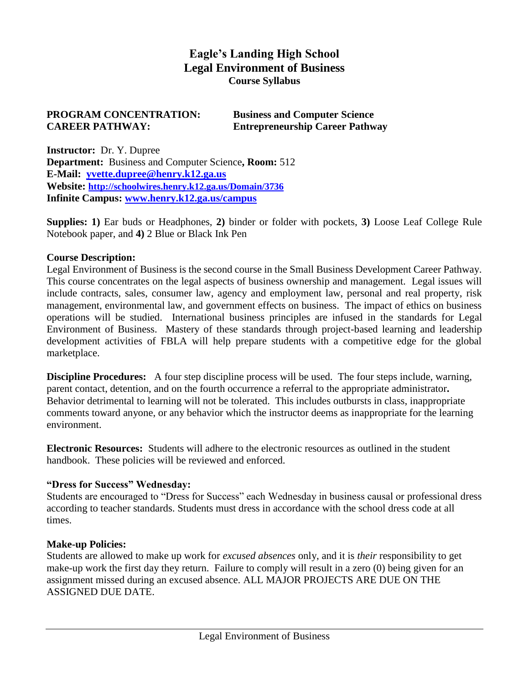## **Eagle's Landing High School Legal Environment of Business Course Syllabus**

#### **PROGRAM CONCENTRATION: Business and Computer Science CAREER PATHWAY: Entrepreneurship Career Pathway**

**Instructor:** Dr. Y. Dupree **Department:** Business and Computer Science**, Room:** 512 **E-Mail: [yvette.dupree@henry.k12.ga.us](mailto:yvette.dupree@henry.k12.ga.us) Website: <http://schoolwires.henry.k12.ga.us/Domain/3736> Infinite Campus: [www.henry.k12.ga.us/campus](http://www.henry.k12.ga.us/campus)**

**Supplies: 1)** Ear buds or Headphones, **2)** binder or folder with pockets, **3)** Loose Leaf College Rule Notebook paper, and **4)** 2 Blue or Black Ink Pen

#### **Course Description:**

Legal Environment of Business is the second course in the Small Business Development Career Pathway. This course concentrates on the legal aspects of business ownership and management. Legal issues will include contracts, sales, consumer law, agency and employment law, personal and real property, risk management, environmental law, and government effects on business. The impact of ethics on business operations will be studied. International business principles are infused in the standards for Legal Environment of Business. Mastery of these standards through project-based learning and leadership development activities of FBLA will help prepare students with a competitive edge for the global marketplace.

**Discipline Procedures:** A four step discipline process will be used. The four steps include, warning, parent contact, detention, and on the fourth occurrence a referral to the appropriate administrator**.**  Behavior detrimental to learning will not be tolerated. This includes outbursts in class, inappropriate comments toward anyone, or any behavior which the instructor deems as inappropriate for the learning environment.

**Electronic Resources:** Students will adhere to the electronic resources as outlined in the student handbook. These policies will be reviewed and enforced.

#### **"Dress for Success" Wednesday:**

Students are encouraged to "Dress for Success" each Wednesday in business causal or professional dress according to teacher standards. Students must dress in accordance with the school dress code at all times.

#### **Make-up Policies:**

Students are allowed to make up work for *excused absences* only, and it is *their* responsibility to get make-up work the first day they return. Failure to comply will result in a zero (0) being given for an assignment missed during an excused absence. ALL MAJOR PROJECTS ARE DUE ON THE ASSIGNED DUE DATE.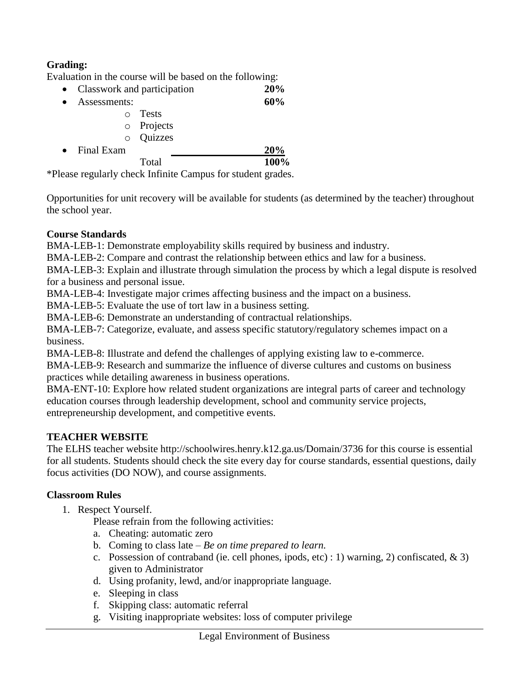## **Grading:**

Evaluation in the course will be based on the following:

- Classwork and participation **20%**
- Assessments: **60%**
	- o Tests
	- o Projects
	- o Quizzes
- Final Exam **20%** Total **100%**

\*Please regularly check Infinite Campus for student grades.

Opportunities for unit recovery will be available for students (as determined by the teacher) throughout the school year.

## **Course Standards**

BMA-LEB-1: Demonstrate employability skills required by business and industry.

BMA-LEB-2: Compare and contrast the relationship between ethics and law for a business.

BMA-LEB-3: Explain and illustrate through simulation the process by which a legal dispute is resolved for a business and personal issue.

BMA-LEB-4: Investigate major crimes affecting business and the impact on a business.

BMA-LEB-5: Evaluate the use of tort law in a business setting.

BMA-LEB-6: Demonstrate an understanding of contractual relationships.

BMA-LEB-7: Categorize, evaluate, and assess specific statutory/regulatory schemes impact on a business.

BMA-LEB-8: Illustrate and defend the challenges of applying existing law to e-commerce.

BMA-LEB-9: Research and summarize the influence of diverse cultures and customs on business practices while detailing awareness in business operations.

BMA-ENT-10: Explore how related student organizations are integral parts of career and technology education courses through leadership development, school and community service projects, entrepreneurship development, and competitive events.

## **TEACHER WEBSITE**

The ELHS teacher website http://schoolwires.henry.k12.ga.us/Domain/3736 for this course is essential for all students. Students should check the site every day for course standards, essential questions, daily focus activities (DO NOW), and course assignments.

## **Classroom Rules**

1. Respect Yourself.

Please refrain from the following activities:

- a. Cheating: automatic zero
- b. Coming to class late *Be on time prepared to learn.*
- c. Possession of contraband (ie. cell phones, ipods, etc) : 1) warning, 2) confiscated,  $\&$  3) given to Administrator
- d. Using profanity, lewd, and/or inappropriate language.
- e. Sleeping in class
- f. Skipping class: automatic referral
- g. Visiting inappropriate websites: loss of computer privilege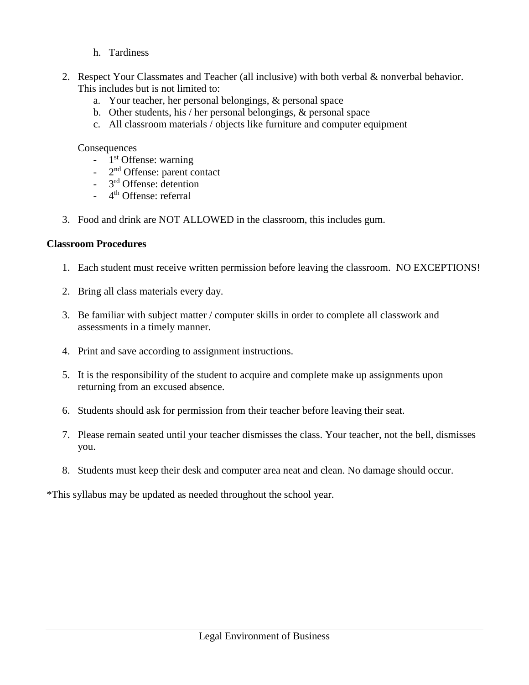- h. Tardiness
- 2. Respect Your Classmates and Teacher (all inclusive) with both verbal & nonverbal behavior. This includes but is not limited to:
	- a. Your teacher, her personal belongings, & personal space
	- b. Other students, his / her personal belongings, & personal space
	- c. All classroom materials / objects like furniture and computer equipment

#### **Consequences**

- 1<sup>st</sup> Offense: warning
- 2<sup>nd</sup> Offense: parent contact
- 3<sup>rd</sup> Offense: detention
- 4<sup>th</sup> Offense: referral
- 3. Food and drink are NOT ALLOWED in the classroom, this includes gum.

## **Classroom Procedures**

- 1. Each student must receive written permission before leaving the classroom. NO EXCEPTIONS!
- 2. Bring all class materials every day.
- 3. Be familiar with subject matter / computer skills in order to complete all classwork and assessments in a timely manner.
- 4. Print and save according to assignment instructions.
- 5. It is the responsibility of the student to acquire and complete make up assignments upon returning from an excused absence.
- 6. Students should ask for permission from their teacher before leaving their seat.
- 7. Please remain seated until your teacher dismisses the class. Your teacher, not the bell, dismisses you.
- 8. Students must keep their desk and computer area neat and clean. No damage should occur.

\*This syllabus may be updated as needed throughout the school year.